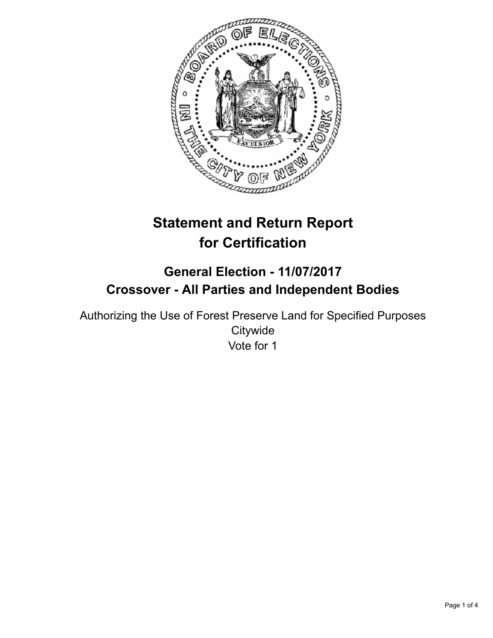

# **Statement and Return Report for Certification**

# **General Election - 11/07/2017 Crossover - All Parties and Independent Bodies**

Authorizing the Use of Forest Preserve Land for Specified Purposes **Citywide** Vote for 1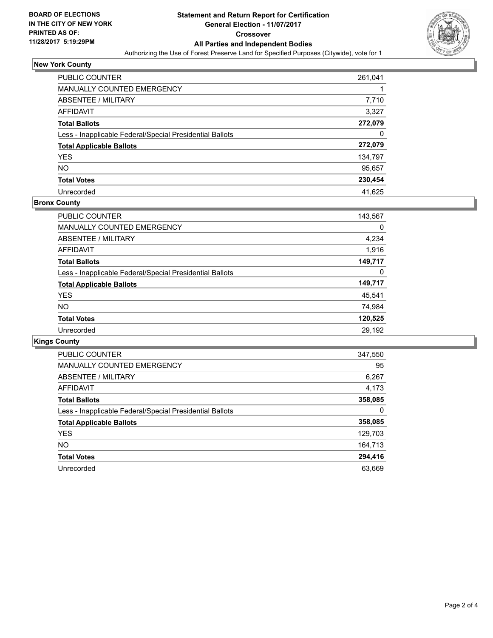

# **New York County**

| PUBLIC COUNTER                                           | 261,041 |
|----------------------------------------------------------|---------|
| <b>MANUALLY COUNTED EMERGENCY</b>                        |         |
| ABSENTEE / MILITARY                                      | 7,710   |
| AFFIDAVIT                                                | 3,327   |
| <b>Total Ballots</b>                                     | 272,079 |
| Less - Inapplicable Federal/Special Presidential Ballots | 0       |
| <b>Total Applicable Ballots</b>                          | 272,079 |
| <b>YES</b>                                               | 134,797 |
| <b>NO</b>                                                | 95,657  |
| <b>Total Votes</b>                                       | 230,454 |
| Unrecorded                                               | 41.625  |

### **Bronx County**

| <b>PUBLIC COUNTER</b>                                    | 143,567 |
|----------------------------------------------------------|---------|
| <b>MANUALLY COUNTED EMERGENCY</b>                        | 0       |
| ABSENTEE / MILITARY                                      | 4,234   |
| <b>AFFIDAVIT</b>                                         | 1,916   |
| <b>Total Ballots</b>                                     | 149,717 |
| Less - Inapplicable Federal/Special Presidential Ballots | 0       |
| <b>Total Applicable Ballots</b>                          | 149,717 |
| <b>YES</b>                                               | 45,541  |
| <b>NO</b>                                                | 74,984  |
| <b>Total Votes</b>                                       | 120,525 |
| Unrecorded                                               | 29.192  |

# **Kings County**

| <b>PUBLIC COUNTER</b>                                    | 347,550 |
|----------------------------------------------------------|---------|
| <b>MANUALLY COUNTED EMERGENCY</b>                        | 95      |
| ABSENTEE / MILITARY                                      | 6,267   |
| AFFIDAVIT                                                | 4,173   |
| <b>Total Ballots</b>                                     | 358,085 |
| Less - Inapplicable Federal/Special Presidential Ballots | 0       |
| <b>Total Applicable Ballots</b>                          | 358,085 |
| <b>YES</b>                                               | 129,703 |
| NO.                                                      | 164,713 |
| <b>Total Votes</b>                                       | 294,416 |
| Unrecorded                                               | 63.669  |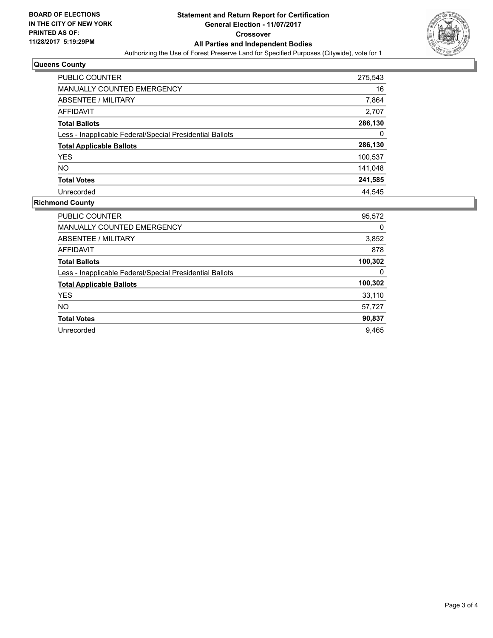

### **Queens County**

| PUBLIC COUNTER                                           | 275,543 |
|----------------------------------------------------------|---------|
| <b>MANUALLY COUNTED EMERGENCY</b>                        | 16      |
| ABSENTEE / MILITARY                                      | 7,864   |
| <b>AFFIDAVIT</b>                                         | 2,707   |
| <b>Total Ballots</b>                                     | 286,130 |
| Less - Inapplicable Federal/Special Presidential Ballots | 0       |
| <b>Total Applicable Ballots</b>                          | 286,130 |
| <b>YES</b>                                               | 100,537 |
| NO.                                                      | 141,048 |
| <b>Total Votes</b>                                       | 241,585 |
| Unrecorded                                               | 44.545  |

### **Richmond County**

| <b>PUBLIC COUNTER</b>                                    | 95,572  |
|----------------------------------------------------------|---------|
| <b>MANUALLY COUNTED EMERGENCY</b>                        | 0       |
| ABSENTEE / MILITARY                                      | 3,852   |
| AFFIDAVIT                                                | 878     |
| <b>Total Ballots</b>                                     | 100,302 |
| Less - Inapplicable Federal/Special Presidential Ballots | 0       |
| <b>Total Applicable Ballots</b>                          | 100,302 |
| <b>YES</b>                                               | 33,110  |
| NO.                                                      | 57,727  |
| <b>Total Votes</b>                                       | 90,837  |
| Unrecorded                                               | 9.465   |